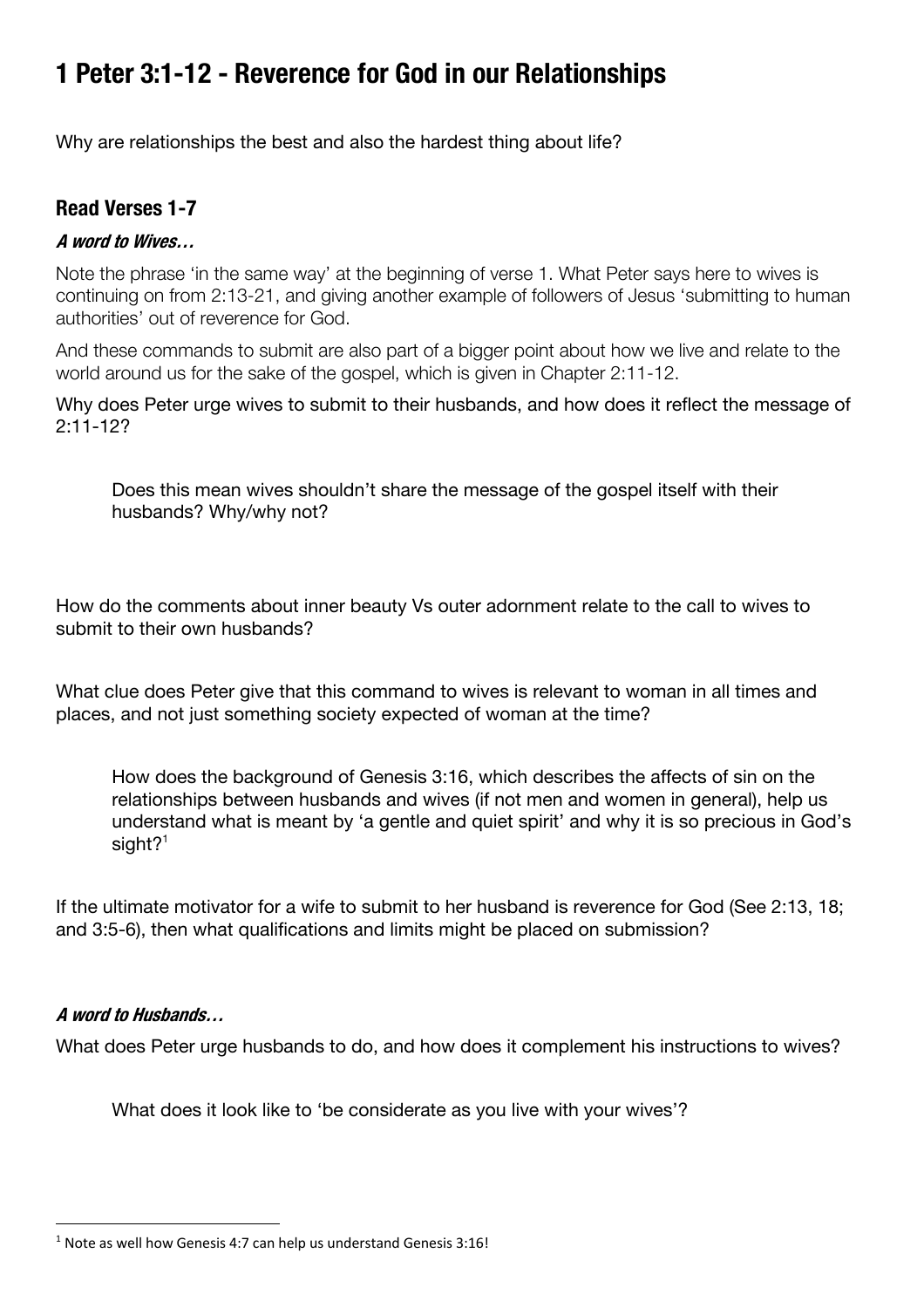# **1 Peter 3:1-12 - Reverence for God in our Relationships**

Why are relationships the best and also the hardest thing about life?

### **Read Verses 1-7**

#### **A word to Wives…**

Note the phrase 'in the same way' at the beginning of verse 1. What Peter says here to wives is continuing on from 2:13-21, and giving another example of followers of Jesus 'submitting to human authorities' out of reverence for God.

And these commands to submit are also part of a bigger point about how we live and relate to the world around us for the sake of the gospel, which is given in Chapter 2:11-12.

Why does Peter urge wives to submit to their husbands, and how does it reflect the message of 2:11-12?

Does this mean wives shouldn't share the message of the gospel itself with their husbands? Why/why not?

How do the comments about inner beauty Vs outer adornment relate to the call to wives to submit to their own husbands?

What clue does Peter give that this command to wives is relevant to woman in all times and places, and not just something society expected of woman at the time?

How does the background of Genesis 3:16, which describes the affects of sin on the relationships between husbands and wives (if not men and women in general), help us understand what is meant by 'a gentle and quiet spirit' and why it is so precious in God's sight $2<sup>1</sup>$ 

If the ultimate motivator for a wife to submit to her husband is reverence for God (See 2:13, 18; and 3:5-6), then what qualifications and limits might be placed on submission?

#### **A word to Husbands…**

What does Peter urge husbands to do, and how does it complement his instructions to wives?

What does it look like to 'be considerate as you live with your wives'?

 $1$  Note as well how Genesis 4:7 can help us understand Genesis 3:16!